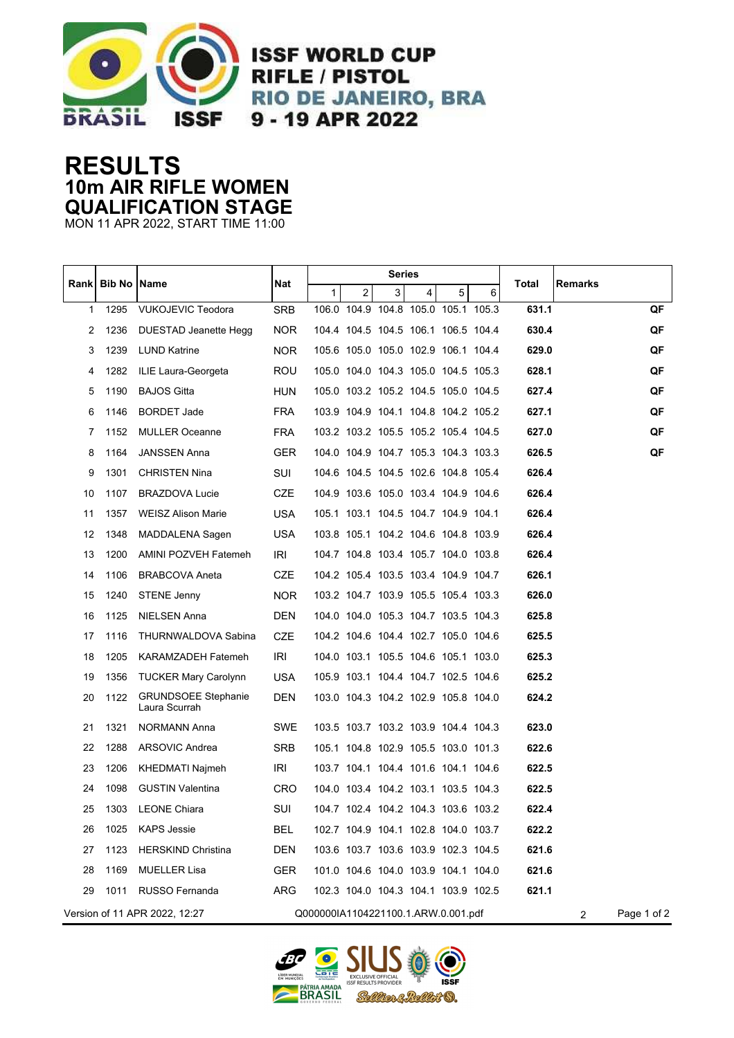

**ISSF WORLD CUP RIFLE / PISTOL RIO DE JANEIRO, BRA** 9 - 19 APR 2022

## **RESULTS 10m AIR RIFLE WOMEN QUALIFICATION STAGE**

MON 11 APR 2022, START TIME 11:00

|                                                                      | <b>Bib No Name</b> |                                             | Nat        | Series |                |   |                                     |   |                |             |         |    |
|----------------------------------------------------------------------|--------------------|---------------------------------------------|------------|--------|----------------|---|-------------------------------------|---|----------------|-------------|---------|----|
| Rankl                                                                |                    |                                             |            | 1      | $\overline{2}$ | 3 | 4                                   | 5 | 6              | Total       | Remarks |    |
| 1                                                                    | 1295               | <b>VUKOJEVIC Teodora</b>                    | <b>SRB</b> |        |                |   | 106.0 104.9 104.8 105.0 105.1 105.3 |   |                | 631.1       |         | QF |
| 2                                                                    | 1236               | DUESTAD Jeanette Hegg                       | <b>NOR</b> |        |                |   | 104.4 104.5 104.5 106.1 106.5 104.4 |   |                | 630.4       |         | QF |
| 3                                                                    | 1239               | <b>LUND Katrine</b>                         | <b>NOR</b> |        |                |   | 105.6 105.0 105.0 102.9 106.1 104.4 |   |                | 629.0       |         | QF |
| 4                                                                    | 1282               | ILIE Laura-Georgeta                         | ROU        |        |                |   | 105.0 104.0 104.3 105.0 104.5 105.3 |   |                | 628.1       |         | QF |
| 5                                                                    | 1190               | <b>BAJOS Gitta</b>                          | HUN        |        |                |   | 105.0 103.2 105.2 104.5 105.0 104.5 |   |                | 627.4       |         | QF |
| 6                                                                    | 1146               | <b>BORDET Jade</b>                          | <b>FRA</b> |        |                |   | 103.9 104.9 104.1 104.8 104.2 105.2 |   |                | 627.1       |         | QF |
| 7                                                                    | 1152               | <b>MULLER Oceanne</b>                       | FRA        |        |                |   | 103.2 103.2 105.5 105.2 105.4 104.5 |   |                | 627.0       |         | QF |
| 8                                                                    | 1164               | <b>JANSSEN Anna</b>                         | <b>GER</b> |        |                |   | 104.0 104.9 104.7 105.3 104.3 103.3 |   |                | 626.5       |         | QF |
| 9                                                                    | 1301               | <b>CHRISTEN Nina</b>                        | SUI        |        |                |   | 104.6 104.5 104.5 102.6 104.8 105.4 |   |                | 626.4       |         |    |
| 10                                                                   | 1107               | <b>BRAZDOVA Lucie</b>                       | CZE        |        |                |   | 104.9 103.6 105.0 103.4 104.9 104.6 |   |                | 626.4       |         |    |
| 11                                                                   | 1357               | <b>WEISZ Alison Marie</b>                   | USA        |        |                |   | 105.1 103.1 104.5 104.7 104.9 104.1 |   |                | 626.4       |         |    |
| 12                                                                   | 1348               | MADDALENA Sagen                             | USA        |        |                |   | 103.8 105.1 104.2 104.6 104.8 103.9 |   |                | 626.4       |         |    |
| 13                                                                   | 1200               | AMINI POZVEH Fatemeh                        | IRI        |        |                |   | 104.7 104.8 103.4 105.7 104.0 103.8 |   |                | 626.4       |         |    |
| 14                                                                   | 1106               | <b>BRABCOVA Aneta</b>                       | <b>CZE</b> |        |                |   | 104.2 105.4 103.5 103.4 104.9 104.7 |   |                | 626.1       |         |    |
| 15                                                                   | 1240               | <b>STENE Jenny</b>                          | <b>NOR</b> |        |                |   | 103.2 104.7 103.9 105.5 105.4 103.3 |   |                | 626.0       |         |    |
| 16                                                                   | 1125               | <b>NIELSEN Anna</b>                         | <b>DEN</b> |        |                |   | 104.0 104.0 105.3 104.7 103.5 104.3 |   |                | 625.8       |         |    |
| 17                                                                   | 1116               | THURNWALDOVA Sabina                         | CZE        |        |                |   | 104.2 104.6 104.4 102.7 105.0 104.6 |   |                | 625.5       |         |    |
| 18                                                                   | 1205               | KARAMZADEH Fatemeh                          | IRI        |        |                |   | 104.0 103.1 105.5 104.6 105.1 103.0 |   |                | 625.3       |         |    |
| 19                                                                   | 1356               | <b>TUCKER Mary Carolynn</b>                 | USA        |        |                |   | 105.9 103.1 104.4 104.7 102.5 104.6 |   |                | 625.2       |         |    |
| 20                                                                   | 1122               | <b>GRUNDSOEE Stephanie</b><br>Laura Scurrah | DEN        |        |                |   | 103.0 104.3 104.2 102.9 105.8 104.0 |   |                | 624.2       |         |    |
| 21                                                                   | 1321               | NORMANN Anna                                | SWE        |        |                |   | 103.5 103.7 103.2 103.9 104.4 104.3 |   |                | 623.0       |         |    |
| 22                                                                   | 1288               | ARSOVIC Andrea                              | <b>SRB</b> |        |                |   | 105.1 104.8 102.9 105.5 103.0 101.3 |   |                | 622.6       |         |    |
| 23                                                                   | 1206               | KHEDMATI Najmeh                             | IRI        |        |                |   | 103.7 104.1 104.4 101.6 104.1 104.6 |   |                | 622.5       |         |    |
| 24                                                                   | 1098               | <b>GUSTIN Valentina</b>                     | CRO        |        |                |   | 104.0 103.4 104.2 103.1 103.5 104.3 |   |                | 622.5       |         |    |
| 25                                                                   | 1303               | <b>LEONE Chiara</b>                         | SUI        |        |                |   | 104.7 102.4 104.2 104.3 103.6 103.2 |   |                | 622.4       |         |    |
| 26                                                                   | 1025               | <b>KAPS Jessie</b>                          | <b>BEL</b> |        |                |   | 102.7 104.9 104.1 102.8 104.0 103.7 |   |                | 622.2       |         |    |
| 27                                                                   | 1123               | <b>HERSKIND Christina</b>                   | <b>DEN</b> |        |                |   | 103.6 103.7 103.6 103.9 102.3 104.5 |   |                | 621.6       |         |    |
| 28                                                                   | 1169               | <b>MUELLER Lisa</b>                         | <b>GER</b> |        |                |   | 101.0 104.6 104.0 103.9 104.1 104.0 |   |                | 621.6       |         |    |
| 29                                                                   | 1011               | RUSSO Fernanda                              | ARG        |        |                |   | 102.3 104.0 104.3 104.1 103.9 102.5 |   |                | 621.1       |         |    |
| Version of 11 APR 2022, 12:27<br>Q000000IA1104221100.1.ARW.0.001.pdf |                    |                                             |            |        |                |   |                                     |   | $\overline{2}$ | Page 1 of 2 |         |    |